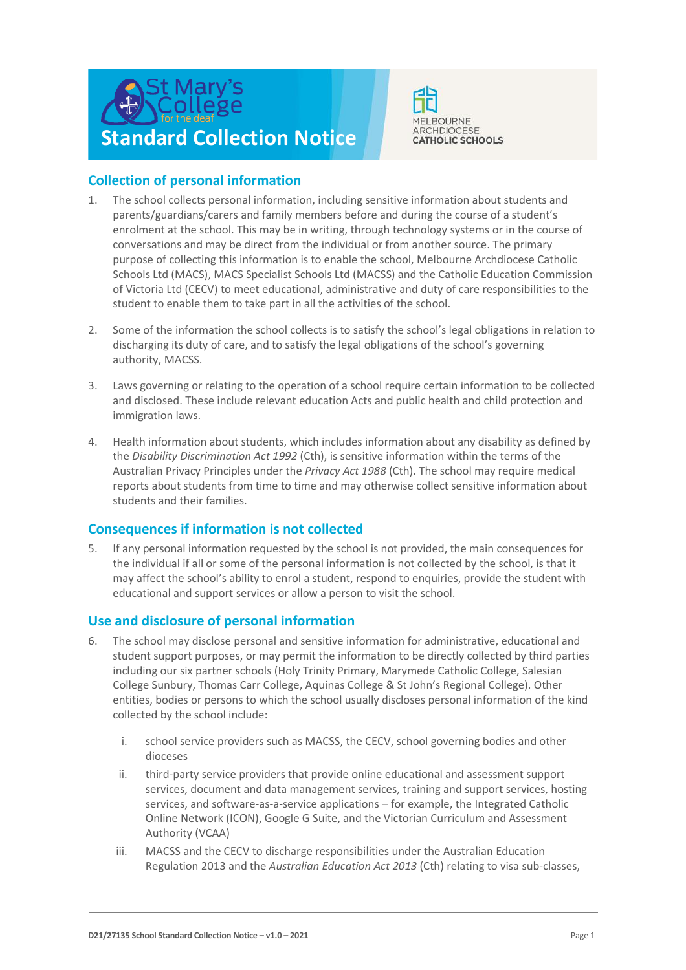



# **Collection of personal information**

- 1. The school collects personal information, including sensitive information about students and parents/guardians/carers and family members before and during the course of a student's enrolment at the school. This may be in writing, through technology systems or in the course of conversations and may be direct from the individual or from another source. The primary purpose of collecting this information is to enable the school, Melbourne Archdiocese Catholic Schools Ltd (MACS), MACS Specialist Schools Ltd (MACSS) and the Catholic Education Commission of Victoria Ltd (CECV) to meet educational, administrative and duty of care responsibilities to the student to enable them to take part in all the activities of the school.
- 2. Some of the information the school collects is to satisfy the school's legal obligations in relation to discharging its duty of care, and to satisfy the legal obligations of the school's governing authority, MACSS.
- 3. Laws governing or relating to the operation of a school require certain information to be collected and disclosed. These include relevant education Acts and public health and child protection and immigration laws.
- 4. Health information about students, which includes information about any disability as defined by the *Disability Discrimination Act 1992* (Cth), is sensitive information within the terms of the Australian Privacy Principles under the *Privacy Act 1988* (Cth). The school may require medical reports about students from time to time and may otherwise collect sensitive information about students and their families.

## **Consequences if information is not collected**

5. If any personal information requested by the school is not provided, the main consequences for the individual if all or some of the personal information is not collected by the school, is that it may affect the school's ability to enrol a student, respond to enquiries, provide the student with educational and support services or allow a person to visit the school.

## **Use and disclosure of personal information**

- 6. The school may disclose personal and sensitive information for administrative, educational and student support purposes, or may permit the information to be directly collected by third parties including our six partner schools (Holy Trinity Primary, Marymede Catholic College, Salesian College Sunbury, Thomas Carr College, Aquinas College & St John's Regional College). Other entities, bodies or persons to which the school usually discloses personal information of the kind collected by the school include:
	- i. school service providers such as MACSS, the CECV, school governing bodies and other dioceses
	- ii. third-party service providers that provide online educational and assessment support services, document and data management services, training and support services, hosting services, and software-as-a-service applications – for example, the Integrated Catholic Online Network (ICON), Google G Suite, and the Victorian Curriculum and Assessment Authority (VCAA)
	- iii. MACSS and the CECV to discharge responsibilities under the Australian Education Regulation 2013 and the *Australian Education Act 2013* (Cth) relating to visa sub-classes,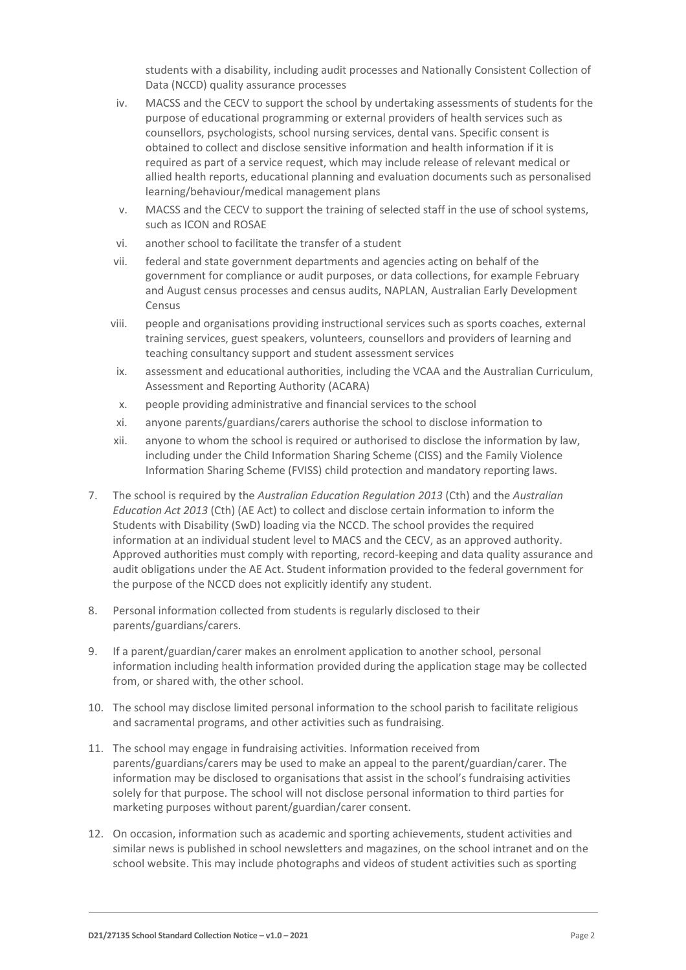students with a disability, including audit processes and Nationally Consistent Collection of Data (NCCD) quality assurance processes

- iv. MACSS and the CECV to support the school by undertaking assessments of students for the purpose of educational programming or external providers of health services such as counsellors, psychologists, school nursing services, dental vans. Specific consent is obtained to collect and disclose sensitive information and health information if it is required as part of a service request, which may include release of relevant medical or allied health reports, educational planning and evaluation documents such as personalised learning/behaviour/medical management plans
- v. MACSS and the CECV to support the training of selected staff in the use of school systems, such as ICON and ROSAE
- vi. another school to facilitate the transfer of a student
- vii. federal and state government departments and agencies acting on behalf of the government for compliance or audit purposes, or data collections, for example February and August census processes and census audits, NAPLAN, Australian Early Development Census
- viii. people and organisations providing instructional services such as sports coaches, external training services, guest speakers, volunteers, counsellors and providers of learning and teaching consultancy support and student assessment services
- ix. assessment and educational authorities, including the VCAA and the Australian Curriculum, Assessment and Reporting Authority (ACARA)
- x. people providing administrative and financial services to the school
- xi. anyone parents/guardians/carers authorise the school to disclose information to
- xii. anyone to whom the school is required or authorised to disclose the information by law, including under the Child Information Sharing Scheme (CISS) and the Family Violence Information Sharing Scheme (FVISS) child protection and mandatory reporting laws.
- 7. The school is required by the *Australian Education Regulation 2013* (Cth) and the *Australian Education Act 2013* (Cth) (AE Act) to collect and disclose certain information to inform the Students with Disability (SwD) loading via the NCCD. The school provides the required information at an individual student level to MACS and the CECV, as an approved authority. Approved authorities must comply with reporting, record-keeping and data quality assurance and audit obligations under the AE Act. Student information provided to the federal government for the purpose of the NCCD does not explicitly identify any student.
- 8. Personal information collected from students is regularly disclosed to their parents/guardians/carers.
- 9. If a parent/guardian/carer makes an enrolment application to another school, personal information including health information provided during the application stage may be collected from, or shared with, the other school.
- 10. The school may disclose limited personal information to the school parish to facilitate religious and sacramental programs, and other activities such as fundraising.
- 11. The school may engage in fundraising activities. Information received from parents/guardians/carers may be used to make an appeal to the parent/guardian/carer. The information may be disclosed to organisations that assist in the school's fundraising activities solely for that purpose. The school will not disclose personal information to third parties for marketing purposes without parent/guardian/carer consent.
- 12. On occasion, information such as academic and sporting achievements, student activities and similar news is published in school newsletters and magazines, on the school intranet and on the school website. This may include photographs and videos of student activities such as sporting